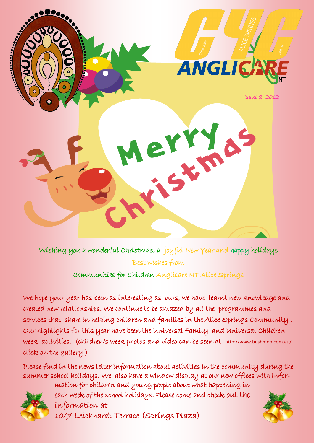

Wishing you a wonderful Christmas, a joyful New Year and happy holidays Best wishes from

Communities for Children Anglicare NT Alice Springs

We hope your year has been as interesting as ours, we have learnt new knowledge and created new relationships. We continue to be amazed by all the programmes and services that share in helping children and families in the Alice Springs Community . Our highlights for this year have been the Universal Family and Universal Children week activities. (children's week photos and video can be seen at <http://www.bushmob.com.au/> click on the gallery )

Please find in the news letter information about activities in the community during the summer school holidays. We also have a window display at our new offices with infor-



mation for children and young people about what happening in each week of the school holidays. Please come and check out the information at

10/7 Leichhardt Terrace (Springs Plaza)

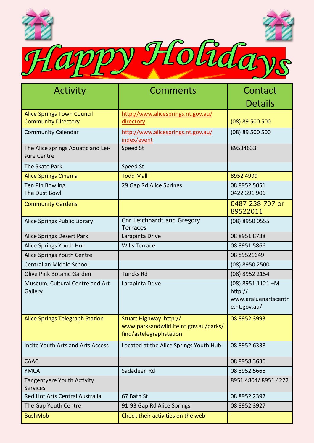

| Activity                                                        | Comments                                                                                   | Contact                                                                |
|-----------------------------------------------------------------|--------------------------------------------------------------------------------------------|------------------------------------------------------------------------|
|                                                                 |                                                                                            | <b>Details</b>                                                         |
| <b>Alice Springs Town Council</b><br><b>Community Directory</b> | http://www.alicesprings.nt.gov.au/<br>directory                                            | (08) 89 500 500                                                        |
| <b>Community Calendar</b>                                       | http://www.alicesprings.nt.gov.au/<br>index/event                                          | $(08)$ 89 500 500                                                      |
| The Alice springs Aquatic and Lei-<br>sure Centre               | Speed St                                                                                   | 89534633                                                               |
| The Skate Park                                                  | Speed St                                                                                   |                                                                        |
| <b>Alice Springs Cinema</b>                                     | <b>Todd Mall</b>                                                                           | 8952 4999                                                              |
| Ten Pin Bowling<br>The Dust Bowl                                | 29 Gap Rd Alice Springs                                                                    | 08 8952 5051<br>0422 391 906                                           |
| <b>Community Gardens</b>                                        |                                                                                            | 0487 238 707 or<br>89522011                                            |
| Alice Springs Public Library                                    | <b>Cnr Leichhardt and Gregory</b><br><b>Terraces</b>                                       | (08) 8950 0555                                                         |
| Alice Springs Desert Park                                       | Larapinta Drive                                                                            | 08 8951 8788                                                           |
| Alice Springs Youth Hub                                         | <b>Wills Terrace</b>                                                                       | 08 8951 5866                                                           |
| Alice Springs Youth Centre                                      |                                                                                            | 08 89521649                                                            |
| Centralian Middle School                                        |                                                                                            | (08) 8950 2500                                                         |
| <b>Olive Pink Botanic Garden</b>                                | <b>Tuncks Rd</b>                                                                           | (08) 8952 2154                                                         |
| Museum, Cultural Centre and Art<br>Gallery                      | Larapinta Drive                                                                            | (08) 8951 1121-M<br>http://<br>www.araluenartscentr<br>$e$ .nt.gov.au/ |
| <b>Alice Springs Telegraph Station</b>                          | Stuart Highway http://<br>www.parksandwildlife.nt.gov.au/parks/<br>find/astelegraphstation | 08 8952 3993                                                           |
| <b>Incite Youth Arts and Arts Access</b>                        | Located at the Alice Springs Youth Hub                                                     | 08 8952 6338                                                           |
| <b>CAAC</b>                                                     |                                                                                            | 08 8958 3636                                                           |
| <b>YMCA</b>                                                     | Sadadeen Rd                                                                                | 08 8952 5666                                                           |
| <b>Tangentyere Youth Activity</b><br><b>Services</b>            |                                                                                            | 8951 4804/8951 4222                                                    |
| Red Hot Arts Central Australia                                  | 67 Bath St                                                                                 | 08 8952 2392                                                           |
| The Gap Youth Centre                                            | 91-93 Gap Rd Alice Springs                                                                 | 08 8952 3927                                                           |
| <b>BushMob</b>                                                  | Check their activities on the web                                                          |                                                                        |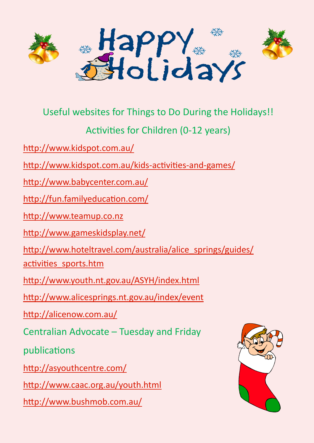

## Useful websites for Things to Do During the Holidays!!

## Activities for Children (0-12 years)

<http://www.kidspot.com.au/>

[http://www.kidspot.com.au/kids](http://www.kidspot.com.au/kids-activities-and-games/)-activities-and-games/

<http://www.babycenter.com.au/>

<http://fun.familyeducation.com/>

[http://www.teamup.co.nz](http://www.teamup.co.nz/YoungChild/learning)

<http://www.gameskidsplay.net/>

[http://www.hoteltravel.com/australia/alice\\_springs/guides/](http://www.hoteltravel.com/australia/alice_springs/guides/activities_sports.htm)

[activities\\_sports.htm](http://www.hoteltravel.com/australia/alice_springs/guides/activities_sports.htm)

<http://www.youth.nt.gov.au/ASYH/index.html>

<http://www.alicesprings.nt.gov.au/index/event>

<http://alicenow.com.au/>

Centralian Advocate – Tuesday and Friday

publications

<http://asyouthcentre.com/>

<http://www.caac.org.au/youth.html>

<http://www.bushmob.com.au/>